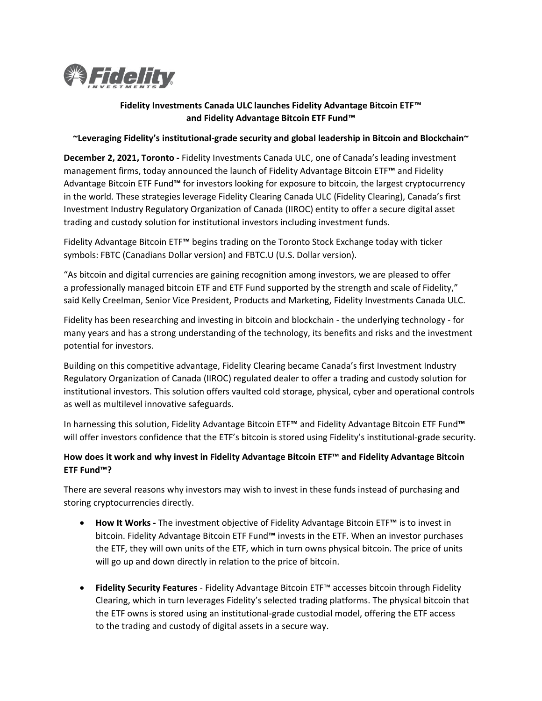

# **Fidelity Investments Canada ULC launches Fidelity Advantage Bitcoin ETF™ and Fidelity Advantage Bitcoin ETF Fund™**

#### **~Leveraging Fidelity's institutional-grade security and global leadership in Bitcoin and Blockchain~**

**December 2, 2021, Toronto -** Fidelity Investments Canada ULC, one of Canada's leading investment management firms, today announced the launch of Fidelity Advantage Bitcoin ETF**™** and Fidelity Advantage Bitcoin ETF Fund**™** for investors looking for exposure to bitcoin, the largest cryptocurrency in the world. These strategies leverage Fidelity Clearing Canada ULC (Fidelity Clearing), Canada's first Investment Industry Regulatory Organization of Canada (IIROC) entity to offer a secure digital asset trading and custody solution for institutional investors including investment funds.

Fidelity Advantage Bitcoin ETF**™** begins trading on the Toronto Stock Exchange today with ticker symbols: FBTC (Canadians Dollar version) and FBTC.U (U.S. Dollar version).

"As bitcoin and digital currencies are gaining recognition among investors, we are pleased to offer a professionally managed bitcoin ETF and ETF Fund supported by the strength and scale of Fidelity," said Kelly Creelman, Senior Vice President, Products and Marketing, Fidelity Investments Canada ULC.

Fidelity has been researching and investing in bitcoin and blockchain - the underlying technology - for many years and has a strong understanding of the technology, its benefits and risks and the investment potential for investors.

Building on this competitive advantage, Fidelity Clearing became Canada's first Investment Industry Regulatory Organization of Canada (IIROC) regulated dealer to offer a trading and custody solution for institutional investors. This solution offers vaulted cold storage, physical, cyber and operational controls as well as multilevel innovative safeguards.

In harnessing this solution, Fidelity Advantage Bitcoin ETF**™** and Fidelity Advantage Bitcoin ETF Fund**™** will offer investors confidence that the ETF's bitcoin is stored using Fidelity's institutional-grade security.

# **How does it work and why invest in Fidelity Advantage Bitcoin ETF™ and Fidelity Advantage Bitcoin ETF Fund™?**

There are several reasons why investors may wish to invest in these funds instead of purchasing and storing cryptocurrencies directly.

- **How It Works** The investment objective of Fidelity Advantage Bitcoin ETF**™** is to invest in bitcoin. Fidelity Advantage Bitcoin ETF Fund**™** invests in the ETF. When an investor purchases the ETF, they will own units of the ETF, which in turn owns physical bitcoin. The price of units will go up and down directly in relation to the price of bitcoin.
- **Fidelity Security Features**  Fidelity Advantage Bitcoin ETF™ accesses bitcoin through Fidelity Clearing, which in turn leverages Fidelity's selected trading platforms. The physical bitcoin that the ETF owns is stored using an institutional-grade custodial model, offering the ETF access to the trading and custody of digital assets in a secure way.